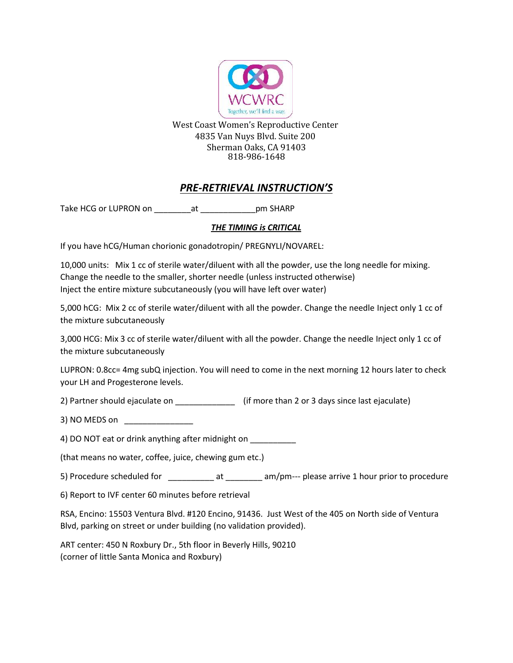

West Coast Women's Reproductive Center 4835 Van Nuys Blvd. Suite 200 Sherman Oaks, CA 91403 818-986-1648

## *PRE-RETRIEVAL INSTRUCTION'S*

Take HCG or LUPRON on \_\_\_\_\_\_\_\_\_\_\_at \_\_\_\_\_\_\_\_\_\_\_\_\_\_\_pm SHARP

## *THE TIMING is CRITICAL*

If you have hCG/Human chorionic gonadotropin/ PREGNYLI/NOVAREL:

10,000 units: Mix 1 cc of sterile water/diluent with all the powder, use the long needle for mixing. Change the needle to the smaller, shorter needle (unless instructed otherwise) Inject the entire mixture subcutaneously (you will have left over water)

5,000 hCG: Mix 2 cc of sterile water/diluent with all the powder. Change the needle Inject only 1 cc of the mixture subcutaneously

3,000 HCG: Mix 3 cc of sterile water/diluent with all the powder. Change the needle Inject only 1 cc of the mixture subcutaneously

LUPRON: 0.8cc= 4mg subQ injection. You will need to come in the next morning 12 hours later to check your LH and Progesterone levels.

2) Partner should ejaculate on  $\qquad \qquad$  (if more than 2 or 3 days since last ejaculate)

3) NO MEDS on \_\_\_\_\_\_\_\_\_\_\_\_\_\_\_

4) DO NOT eat or drink anything after midnight on

(that means no water, coffee, juice, chewing gum etc.)

5) Procedure scheduled for at am/pm--- please arrive 1 hour prior to procedure

6) Report to IVF center 60 minutes before retrieval

RSA, Encino: 15503 Ventura Blvd. #120 Encino, 91436. Just West of the 405 on North side of Ventura Blvd, parking on street or under building (no validation provided).

ART center: 450 N Roxbury Dr., 5th floor in Beverly Hills, 90210 (corner of little Santa Monica and Roxbury)